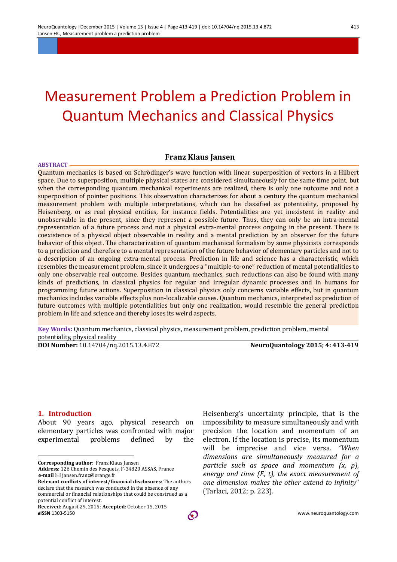# Measurement Problem a Prediction Problem in Quantum Mechanics and Classical Physics

### **Franz Klaus Jansen**

**ABSTRACT** Quantum mechanics is based on Schrödinger's wave function with linear superposition of vectors in a Hilbert space. Due to superposition, multiple physical states are considered simultaneously for the same time point, but when the corresponding quantum mechanical experiments are realized, there is only one outcome and not a superposition of pointer positions. This observation characterizes for about a century the quantum mechanical measurement problem with multiple interpretations, which can be classified as potentiality, proposed by Heisenberg, or as real physical entities, for instance fields. Potentialities are yet inexistent in reality and unobservable in the present, since they represent a possible future. Thus, they can only be an intra-mental representation of a future process and not a physical extra-mental process ongoing in the present. There is coexistence of a physical object observable in reality and a mental prediction by an observer for the future behavior of this object. The characterization of quantum mechanical formalism by some physicists corresponds to a prediction and therefore to a mental representation of the future behavior of elementary particles and not to a description of an ongoing extra-mental process. Prediction in life and science has a characteristic, which resembles the measurement problem, since it undergoes a "multiple-to-one" reduction of mental potentialities to only one observable real outcome. Besides quantum mechanics, such reductions can also be found with many kinds of predictions, in classical physics for regular and irregular dynamic processes and in humans for programming future actions. Superposition in classical physics only concerns variable effects, but in quantum mechanics includes variable effects plus non-localizable causes. Quantum mechanics, interpreted as prediction of future outcomes with multiple potentialities but only one realization, would resemble the general prediction problem in life and science and thereby loses its weird aspects.

**Key Words:** Quantum mechanics, classical physics, measurement problem, prediction problem, mental potentiality, physical reality

**DOI Number:** 10.14704/nq.2015.13.4.872 **NeuroQuantology 2015; 4: 413-419** 

# **1.** Introduction

 $\overline{a}$ 

About 90 years ago, physical research on elementary particles was confronted with major experimental problems defined by the

**Corresponding author:** Franz Klaus Jansen

Heisenberg's uncertainty principle, that is the impossibility to measure simultaneously and with precision the location and momentum of an electron. If the location is precise, its momentum will be imprecise and vice versa. "When *dimensions are simultaneously measured for a particle such as space and momentum*  $(x, p)$ *, energy* and time (E, t), the exact measurement of *one dimension makes the other extend to infinity*" (Tarlaci, 2012; p. 223).

Address: 126 Chemin des Fesquets, F-34820 ASSAS, France **e-mail** ⊠ jansen.franz@orange.fr

**Relevant conflicts of interest/financial disclosures:** The authors declare that the research was conducted in the absence of any commercial or financial relationships that could be construed as a potential conflict of interest.

*e***ISSN** 1303-5150 www.neuroquantology.com Received: August 29, 2015; Accepted: October 15, 2015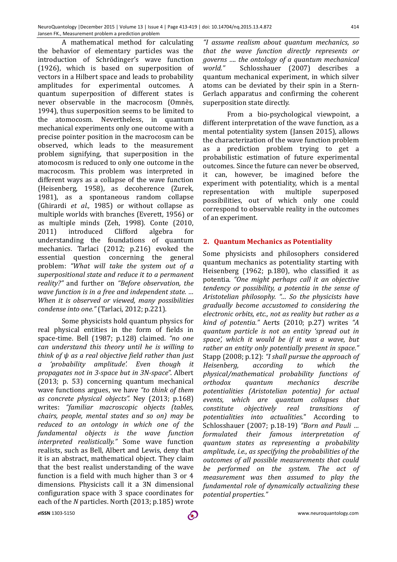A mathematical method for calculating the behavior of elementary particles was the introduction of Schrödinger's wave function (1926), which is based on superposition of vectors in a Hilbert space and leads to probability amplitudes for experimental outcomes. A quantum superposition of different states is never observable in the macrocosm (Omnès, 1994), thus superposition seems to be limited to the atomocosm. Nevertheless, in quantum mechanical experiments only one outcome with a precise pointer position in the macrocosm can be. observed, which leads to the measurement problem signifying, that superposition in the atomocosm is reduced to only one outcome in the macrocosm. This problem was interpreted in different ways as a collapse of the wave function (Heisenberg, 1958), as decoherence (Zurek, 1981), as a spontaneous random collapse (Ghirardi *et al.,* 1985) or without collapse as multiple worlds with branches (Everett, 1956) or as multiple minds (Zeh, 1998). Conte (2010, 2011) introduced Clifford algebra for understanding the foundations of quantum mechanics. Tarlaci (2012; p.216) evoked the essential question concerning the general problem: "What will take the system out of a superpositional state and reduce it to a permanent *reality?"* and further on *"Before observation, the wave function is in a free and independent state. ... When it is observed or viewed, many possibilities condense into one."* (Tarlaci, 2012; p.221).

Some physicists hold quantum physics for real physical entities in the form of fields in space-time. Bell (1987; p.128) claimed. "no one *can understand this theory until he is willing to think of*  $ψ$  *as a real objective field rather than just a 'probability amplitude'. Even though it propagates not in 3-space but in 3N-space"*. Albert (2013; p. 53) concerning quantum mechanical wave functions argues, we have "to think of them *as concrete physical objects".*  Ney (2013; p.168) writes: "familiar macroscopic objects (tables, *chairs, people, mental states and so on) may be* reduced to an ontology in which one of the *fundamental objects is the wave function interpreted realistically."*  Some wave function realists, such as Bell, Albert and Lewis, deny that it is an abstract, mathematical object. They claim that the best realist understanding of the wave function is a field with much higher than 3 or 4 dimensions. Physicists call it a 3N dimensional configuration space with 3 space coordinates for each of the *N* particles. North (2013; p.185) wrote

*"I assume realism about quantum mechanics, so that the wave function directly represents or governs* .... the ontology of a quantum mechanical world." Schlosshauer (2007) describes a quantum mechanical experiment, in which silver atoms can be deviated by their spin in a Stern-Gerlach apparatus and confirming the coherent superposition state directly.

From a bio-psychological viewpoint, a different interpretation of the wave function, as a mental potentiality system (Jansen 2015), allows the characterization of the wave function problem as a prediction problem trying to get a probabilistic estimation of future experimental outcomes. Since the future can never be observed, it can, however, be imagined before the experiment with potentiality, which is a mental representation with multiple superposed possibilities, out of which only one could correspond to observable reality in the outcomes of an experiment.

#### **2. Quantum Mechanics as Potentiality**

Some physicists and philosophers considered quantum mechanics as potentiality starting with Heisenberg  $(1962; p.180)$ , who classified it as potentia. "One might perhaps call it an objective *tendency* or *possibility, a potentia in the sense of Aristotelian philosophy. "… So the physicists have gradually become accustomed to considering the electronic orbits, etc., not as reality but rather as a kind of potentia."* Aerts (2010; p.27) writes "A *quantum particle is not an entity 'spread out in*  space', which it would be if it was a wave, but rather an entity only potentially present in space." Stapp (2008; p.12): "I shall pursue the approach of *Heisenberg, according to which the physical/mathematical probability functions of orthodox quantum mechanics describe potentialities (Aristotelian potentia) for actual*  events, which are quantum collapses that *constitute objectively real transitions of potentialities into actualities.*" According to Schlosshauer (2007; p.18-19) "Born and Pauli ... *formulated their famous interpretation of quantum states as representing a probability amplitude, i.e., as specifying the probabilities of the* outcomes of all possible measurements that could be performed on the system. The act of *measurement* was then assumed to play the *fundamental role of dynamically actualizing these potential properties."*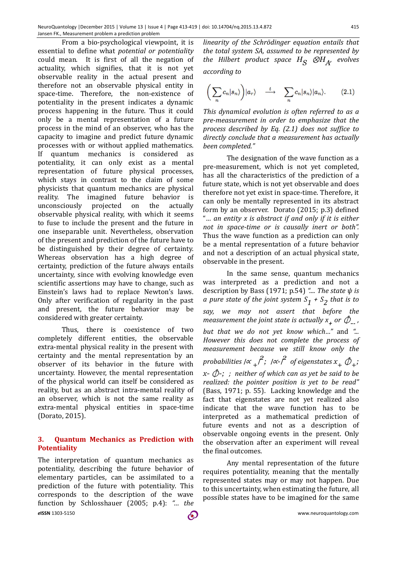From a bio-psychological viewpoint, it is essential to define what *potential* or *potentiality* could mean. It is first of all the negation of actuality, which signifies, that it is not yet observable reality in the actual present and therefore not an observable physical entity in space-time. Therefore, the non-existence of potentiality in the present indicates a dynamic process happening in the future. Thus it could only be a mental representation of a future process in the mind of an observer, who has the capacity to imagine and predict future dynamic processes with or without applied mathematics. If quantum mechanics is considered as potentiality, it can only exist as a mental representation of future physical processes, which stays in contrast to the claim of some physicists that quantum mechanics are physical reality. The imagined future behavior is unconsciously projected on the actually observable physical reality, with which it seems to fuse to include the present and the future in one inseparable unit. Nevertheless, observation of the present and prediction of the future have to be distinguished by their degree of certainty. Whereas observation has a high degree of certainty, prediction of the future always entails uncertainty, since with evolving knowledge even scientific assertions may have to change, such as Einstein's laws had to replace Newton's laws. Only after verification of regularity in the past and present, the future behavior may be considered with greater certainty.

Thus, there is coexistence of two completely different entities, the observable extra-mental physical reality in the present with certainty and the mental representation by an observer of its behavior in the future with uncertainty. However, the mental representation of the physical world can itself be considered as reality, but as an abstract intra-mental reality of an observer, which is not the same reality as extra-mental physical entities in space-time (Dorato, 2015).

# **3. Quantum Mechanics as Prediction with Potentiality**

*e***ISSN** 1303-5150 www.neuroquantology.com The interpretation of quantum mechanics as potentiality, describing the future behavior of elementary particles, can be assimilated to a prediction of the future with potentiality. This corresponds to the description of the wave function by Schlosshauer (2005; p.4): "... the

*linearity of the Schrödinger equation entails that* the total system SA, assumed to be represented by *the Hilbert product space*  $H_S$   $\otimes H_A$ , *evolves according to*

$$
\left(\sum_{n}c_{n}|s_{n}\rangle\right)|a_{n}\rangle \quad \stackrel{t}{\longrightarrow} \quad \sum_{n}c_{n}|s_{n}\rangle|a_{n}\rangle. \tag{2.1}
$$

*This dynamical evolution is often referred to as a pre-measurement in order to emphasize that the process described by Eq.* (2.1) does not suffice to directly conclude that a measurement has actually *been completed."*

The designation of the wave function as a pre-measurement, which is not yet completed, has all the characteristics of the prediction of a future state, which is not yet observable and does therefore not yet exist in space-time. Therefore, it can only be mentally represented in its abstract form by an observer. Dorato  $(2015; p.3)$  defined "*… an entity x is abstract if and only if it is either*  not in space-time or is causally inert or both". Thus the wave function as a prediction can only be a mental representation of a future behavior and not a description of an actual physical state, observable in the present.

In the same sense, quantum mechanics was interpreted as a prediction and not a description by Bass (1971; p.54) ".... *The state*  $\psi$  is *a* pure state of the joint system  $S_1$  +  $S_2$  that is to say, we may not assert that before the *measurement the joint state is actually*  $x_+$  *or*  $\hat{\phi}_-$ *, but that we do not yet know which..."* and "... However this does not complete the process of *measurement because we still know only the probabilities* /∝ <sub>+</sub>  $\hat{f}$ ; /∝- $\hat{f}$  of eigenstates  $x_+$   $\hat{\phi}_+$ ;  $x \hat{\mathcal{D}}$ -; ; neither of which can as yet be said to be *realized: the pointer position is yet to be read"* (Bass, 1971; p. 55). Lacking knowledge and the fact that eigenstates are not yet realized also indicate that the wave function has to be interpreted as a mathematical prediction of future events and not as a description of observable ongoing events in the present. Only the observation after an experiment will reveal the final outcomes.

Any mental representation of the future requires potentiality, meaning that the mentally represented states may or may not happen. Due to this uncertainty, when estimating the future, all possible states have to be imagined for the same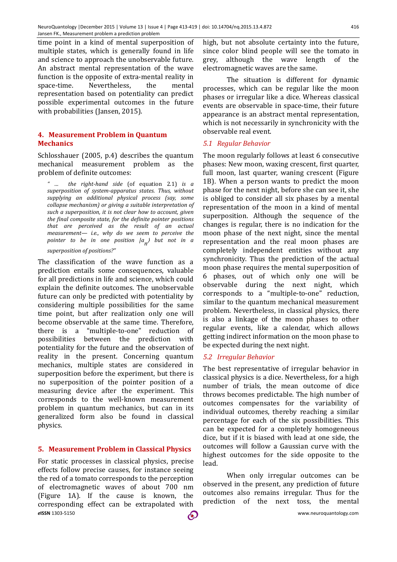time point in a kind of mental superposition of multiple states, which is generally found in life and science to approach the unobservable future. An abstract mental representation of the wave function is the opposite of extra-mental reality in space-time. Nevertheless, the mental representation based on potentiality can predict possible experimental outcomes in the future with probabilities (Jansen, 2015).

# **4. Measurement Problem in Quantum Mechanics**

Schlosshauer  $(2005, p.4)$  describes the quantum mechanical measurement problem as the problem of definite outcomes:

*" … the right-hand side*  (of equation 2.1) *is a*  superposition of system-apparatus states. Thus, without supplying an additional physical process (say, some *collapse mechanism)* or giving a suitable interpretation of such a superposition, it is not clear how to account, given the final composite state, for the definite pointer positions *that are perceived as the result of an actual measurement— i.e., why do we seem to perceive the pointer to be in one position*  $|a_{n}\rangle$  *but not in a superposition of positions?"*

The classification of the wave function as a prediction entails some consequences, valuable for all predictions in life and science, which could explain the definite outcomes. The unobservable future can only be predicted with potentiality by considering multiple possibilities for the same time point, but after realization only one will become observable at the same time. Therefore, there is a "multiple-to-one" reduction of possibilities between the prediction with potentiality for the future and the observation of reality in the present. Concerning quantum mechanics, multiple states are considered in superposition before the experiment, but there is no superposition of the pointer position of a measuring device after the experiment. This corresponds to the well-known measurement problem in quantum mechanics, but can in its generalized form also be found in classical physics.

# **5. Measurement Problem in Classical Physics**

*e***ISSN** 1303-5150 www.neuroquantology.com For static processes in classical physics, precise effects follow precise causes, for instance seeing the red of a tomato corresponds to the perception of electromagnetic waves of about 700 nm (Figure 1A). If the cause is known, the corresponding effect can be extrapolated with

high, but not absolute certainty into the future, since color blind people will see the tomato in grey, although the wave length of the electromagnetic waves are the same.

The situation is different for dynamic processes, which can be regular like the moon phases or irregular like a dice. Whereas classical events are observable in space-time, their future appearance is an abstract mental representation. which is not necessarily in synchronicity with the observable real event.

### *5.1 Regular Behavior*

The moon regularly follows at least 6 consecutive phases: New moon, waxing crescent, first quarter, full moon, last quarter, waning crescent (Figure 1B). When a person wants to predict the moon phase for the next night, before she can see it, she is obliged to consider all six phases by a mental representation of the moon in a kind of mental superposition. Although the sequence of the changes is regular, there is no indication for the moon phase of the next night, since the mental representation and the real moon phases are completely independent entities without any synchronicity. Thus the prediction of the actual moon phase requires the mental superposition of 6 phases, out of which only one will be observable during the next night, which corresponds to a "multiple-to-one" reduction, similar to the quantum mechanical measurement problem. Nevertheless, in classical physics, there is also a linkage of the moon phases to other regular events, like a calendar, which allows getting indirect information on the moon phase to be expected during the next night.

#### *5.2 Irregular Behavior*

The best representative of irregular behavior in classical physics is a dice. Nevertheless, for a high number of trials, the mean outcome of dice throws becomes predictable. The high number of outcomes compensates for the variability of individual outcomes, thereby reaching a similar percentage for each of the six possibilities. This can be expected for a completely homogeneous dice, but if it is biased with lead at one side, the outcomes will follow a Gaussian curve with the highest outcomes for the side opposite to the lead.

When only irregular outcomes can be observed in the present, any prediction of future outcomes also remains irregular. Thus for the prediction of the next toss, the mental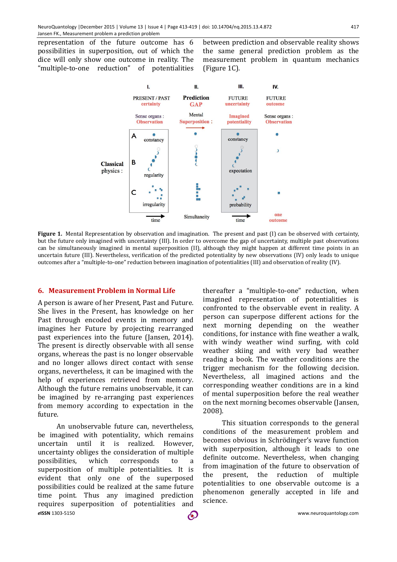representation of the future outcome has 6 possibilities in superposition, out of which the dice will only show one outcome in reality. The "multiple-to-one reduction" of potentialities 

between prediction and observable reality shows the same general prediction problem as the measurement problem in quantum mechanics  $(Figure 1C)$ .



**Figure 1.** Mental Representation by observation and imagination. The present and past (I) can be observed with certainty, but the future only imagined with uncertainty (III). In order to overcome the gap of uncertainty, multiple past observations can be simultaneously imagined in mental superposition (II), although they might happen at different time points in an uncertain future (III). Nevertheless, verification of the predicted potentiality by new observations (IV) only leads to unique outcomes after a "multiple-to-one" reduction between imagination of potentialities (III) and observation of reality (IV).

#### **6. Measurement Problem in Normal Life**

A person is aware of her Present, Past and Future. She lives in the Present, has knowledge on her Past through encoded events in memory and imagines her Future by projecting rearranged past experiences into the future (Jansen, 2014). The present is directly observable with all sense organs, whereas the past is no longer observable and no longer allows direct contact with sense organs, nevertheless, it can be imagined with the help of experiences retrieved from memory. Although the future remains unobservable, it can be imagined by re-arranging past experiences from memory according to expectation in the future.

*e***ISSN** 1303-5150 www.neuroquantology.com An unobservable future can, nevertheless, be imagined with potentiality, which remains uncertain until it is realized. However, uncertainty obliges the consideration of multiple possibilities, which corresponds to a superposition of multiple potentialities. It is evident that only one of the superposed possibilities could be realized at the same future time point. Thus any imagined prediction requires superposition of potentialities and

thereafter a "multiple-to-one" reduction, when imagined representation of potentialities is confronted to the observable event in reality. A person can superpose different actions for the next morning depending on the weather conditions, for instance with fine weather a walk, with windy weather wind surfing, with cold weather skiing and with very bad weather reading a book. The weather conditions are the trigger mechanism for the following decision. Nevertheless, all imagined actions and the corresponding weather conditions are in a kind of mental superposition before the real weather on the next morning becomes observable (Jansen, 2008).

This situation corresponds to the general conditions of the measurement problem and becomes obvious in Schrödinger's wave function with superposition, although it leads to one definite outcome. Nevertheless, when changing from imagination of the future to observation of the present, the reduction of multiple potentialities to one observable outcome is a phenomenon generally accepted in life and science.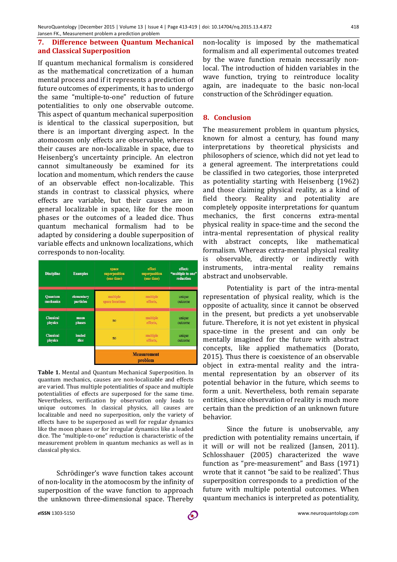### **7. Difference between Quantum Mechanical and Classical Superposition**

If quantum mechanical formalism is considered as the mathematical concretization of a human mental process and if it represents a prediction of future outcomes of experiments, it has to undergo the same "multiple-to-one" reduction of future potentialities to only one observable outcome. This aspect of quantum mechanical superposition is identical to the classical superposition, but there is an important diverging aspect. In the atomocosm only effects are observable, whereas their causes are non-localizable in space, due to Heisenberg's uncertainty principle. An electron cannot simultaneously be examined for its location and momentum, which renders the cause of an observable effect non-localizable. This stands in contrast to classical physics, where effects are variable, but their causes are in general localizable in space, like for the moon phases or the outcomes of a leaded dice. Thus quantum mechanical formalism had to be adapted by considering a double superposition of variable effects and unknown localizations, which corresponds to non-locality.

| <b>Discipline</b> | <b>Examples</b> | space<br>superposition<br>(one time) | effect<br>superposition<br>(one time) | effect:<br>"multiple to one"<br>reduction |
|-------------------|-----------------|--------------------------------------|---------------------------------------|-------------------------------------------|
| <b>Quantum</b>    | elementary      | multiple                             | multiple                              | unique                                    |
| mechanics         | particles       | space locations                      | effects,                              | outcome                                   |
| <b>Classical</b>  | moon            | no                                   | multiple                              | unique                                    |
| physics           | phases          |                                      | effects.                              | outcome                                   |
| <b>Classical</b>  | leaded          | no                                   | multiple                              | unique                                    |
| physics           | dice            |                                      | effects,                              | outcome                                   |
|                   |                 |                                      | <b>Measurement</b><br>problem         |                                           |

**Table 1.** Mental and Quantum Mechanical Superposition. In quantum mechanics, causes are non-localizable and effects are varied. Thus multiple potentialities of space and multiple potentialities of effects are superposed for the same time. Nevertheless, verification by observation only leads to unique outcomes. In classical physics, all causes are localizable and need no superposition, only the variety of effects have to be superposed as well for regular dynamics like the moon phases or for irregular dynamics like a leaded dice. The "multiple-to-one" reduction is characteristic of the measurement problem in quantum mechanics as well as in classical physics.

Schrödinger's wave function takes account of non-locality in the atomocosm by the infinity of superposition of the wave function to approach the unknown three-dimensional space. Thereby

non-locality is imposed by the mathematical formalism and all experimental outcomes treated by the wave function remain necessarily nonlocal. The introduction of hidden variables in the wave function, trying to reintroduce locality again, are inadequate to the basic non-local construction of the Schrödinger equation.

## **8. Conclusion**

The measurement problem in quantum physics, known for almost a century, has found many interpretations by theoretical physicists and philosophers of science, which did not yet lead to a general agreement. The interpretations could be classified in two categories, those interpreted as potentiality starting with Heisenberg (1962) and those claiming physical reality, as a kind of field theory. Reality and potentiality are completely opposite interpretations for quantum mechanics, the first concerns extra-mental physical reality in space-time and the second the intra-mental representation of physical reality with abstract concepts, like mathematical formalism. Whereas extra-mental physical reality is observable, directly or indirectly with instruments, intra-mental reality remains abstract and unobservable.

Potentiality is part of the intra-mental representation of physical reality, which is the opposite of actuality, since it cannot be observed in the present, but predicts a yet unobservable future. Therefore, it is not yet existent in physical space-time in the present and can only be mentally imagined for the future with abstract concepts, like applied mathematics (Dorato, 2015). Thus there is coexistence of an observable object in extra-mental reality and the intramental representation by an observer of its potential behavior in the future, which seems to form a unit. Nevertheless, both remain separate entities, since observation of reality is much more certain than the prediction of an unknown future behavior. 

Since the future is unobservable, any prediction with potentiality remains uncertain, if it will or will not be realized (Jansen, 2011). Schlosshauer (2005) characterized the wave function as "pre-measurement" and Bass (1971) wrote that it cannot "be said to be realized". Thus superposition corresponds to a prediction of the future with multiple potential outcomes. When quantum mechanics is interpreted as potentiality,